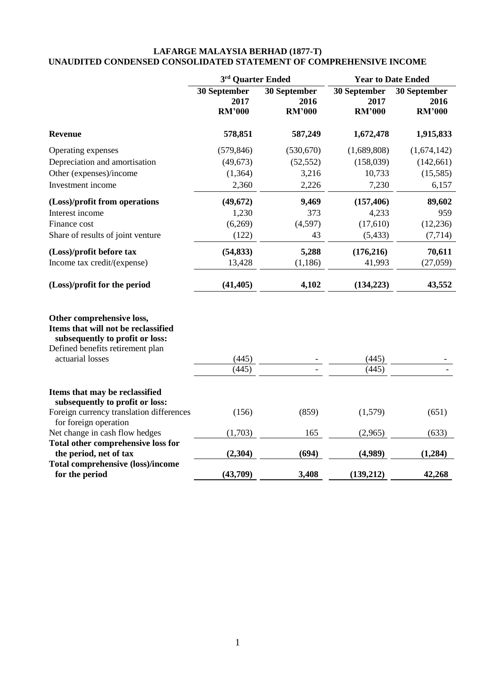### **LAFARGE MALAYSIA BERHAD (1877-T) UNAUDITED CONDENSED CONSOLIDATED STATEMENT OF COMPREHENSIVE INCOME**

|                                                                                                                                                             | 3rd Quarter Ended                     |                                       | <b>Year to Date Ended</b>             |                                       |  |
|-------------------------------------------------------------------------------------------------------------------------------------------------------------|---------------------------------------|---------------------------------------|---------------------------------------|---------------------------------------|--|
|                                                                                                                                                             | 30 September<br>2017<br><b>RM'000</b> | 30 September<br>2016<br><b>RM'000</b> | 30 September<br>2017<br><b>RM'000</b> | 30 September<br>2016<br><b>RM'000</b> |  |
| <b>Revenue</b>                                                                                                                                              | 578,851                               | 587,249                               | 1,672,478                             | 1,915,833                             |  |
| Operating expenses                                                                                                                                          | (579, 846)                            | (530, 670)                            | (1,689,808)                           | (1,674,142)                           |  |
| Depreciation and amortisation                                                                                                                               | (49, 673)                             | (52, 552)                             | (158,039)                             | (142, 661)                            |  |
| Other (expenses)/income                                                                                                                                     | (1,364)                               | 3,216                                 | 10,733                                | (15,585)                              |  |
| Investment income                                                                                                                                           | 2,360                                 | 2,226                                 | 7,230                                 | 6,157                                 |  |
| (Loss)/profit from operations                                                                                                                               | (49, 672)                             | 9,469                                 | (157, 406)                            | 89,602                                |  |
| Interest income                                                                                                                                             | 1,230                                 | 373                                   | 4,233                                 | 959                                   |  |
| Finance cost                                                                                                                                                | (6,269)                               | (4,597)                               | (17,610)                              | (12, 236)                             |  |
| Share of results of joint venture                                                                                                                           | (122)                                 | 43                                    | (5, 433)                              | (7, 714)                              |  |
| (Loss)/profit before tax                                                                                                                                    | (54, 833)                             | 5,288                                 | (176, 216)                            | 70,611                                |  |
| Income tax credit/(expense)                                                                                                                                 | 13,428                                | (1, 186)                              | 41,993                                | (27,059)                              |  |
| (Loss)/profit for the period                                                                                                                                | (41, 405)                             | 4,102                                 | (134, 223)                            | 43,552                                |  |
| Other comprehensive loss,<br>Items that will not be reclassified<br>subsequently to profit or loss:<br>Defined benefits retirement plan<br>actuarial losses | (445)<br>(445)                        |                                       | (445)<br>(445)                        |                                       |  |
| Items that may be reclassified<br>subsequently to profit or loss:                                                                                           |                                       |                                       |                                       |                                       |  |
| Foreign currency translation differences<br>for foreign operation                                                                                           | (156)                                 | (859)                                 | (1,579)                               | (651)                                 |  |
| Net change in cash flow hedges                                                                                                                              | (1,703)                               | 165                                   | (2,965)                               | (633)                                 |  |
| <b>Total other comprehensive loss for</b>                                                                                                                   |                                       |                                       |                                       |                                       |  |
| the period, net of tax                                                                                                                                      | (2,304)                               | (694)                                 | (4,989)                               | (1,284)                               |  |
| Total comprehensive (loss)/income<br>for the period                                                                                                         | (43,709)                              | 3,408                                 | (139,212)                             | 42,268                                |  |
|                                                                                                                                                             |                                       |                                       |                                       |                                       |  |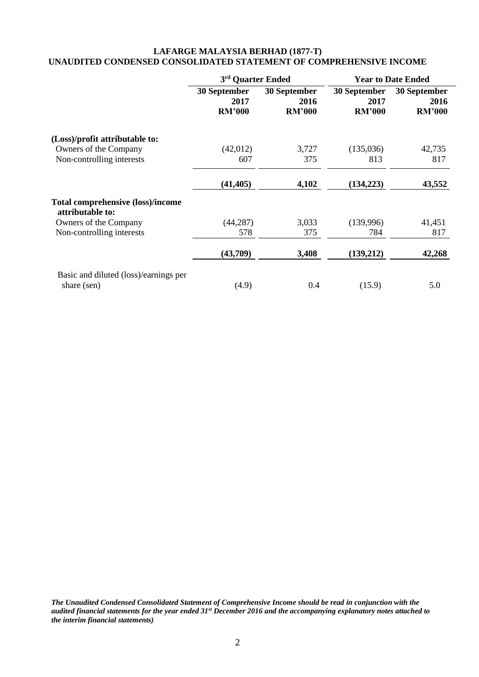# **LAFARGE MALAYSIA BERHAD (1877-T) UNAUDITED CONDENSED CONSOLIDATED STATEMENT OF COMPREHENSIVE INCOME**

|                                                              | 3rd Quarter Ended                     |                                       | <b>Year to Date Ended</b>             |                                       |  |
|--------------------------------------------------------------|---------------------------------------|---------------------------------------|---------------------------------------|---------------------------------------|--|
|                                                              | 30 September<br>2017<br><b>RM'000</b> | 30 September<br>2016<br><b>RM'000</b> | 30 September<br>2017<br><b>RM'000</b> | 30 September<br>2016<br><b>RM'000</b> |  |
| (Loss)/profit attributable to:                               |                                       |                                       |                                       |                                       |  |
| Owners of the Company                                        | (42, 012)                             | 3,727                                 | (135,036)                             | 42,735                                |  |
| Non-controlling interests                                    | 607                                   | 375                                   | 813                                   | 817                                   |  |
|                                                              | (41, 405)                             | 4,102                                 | (134, 223)                            | 43,552                                |  |
| <b>Total comprehensive (loss)/income</b><br>attributable to: |                                       |                                       |                                       |                                       |  |
| Owners of the Company                                        | (44, 287)                             | 3,033                                 | (139,996)                             | 41,451                                |  |
| Non-controlling interests                                    | 578                                   | 375                                   | 784                                   | 817                                   |  |
|                                                              | (43,709)                              | 3,408                                 | (139,212)                             | 42,268                                |  |
| Basic and diluted (loss)/earnings per<br>share (sen)         | (4.9)                                 | 0.4                                   | (15.9)                                | 5.0                                   |  |

*The Unaudited Condensed Consolidated Statement of Comprehensive Income should be read in conjunction with the audited financial statements for the year ended 31st December 2016 and the accompanying explanatory notes attached to the interim financial statements)*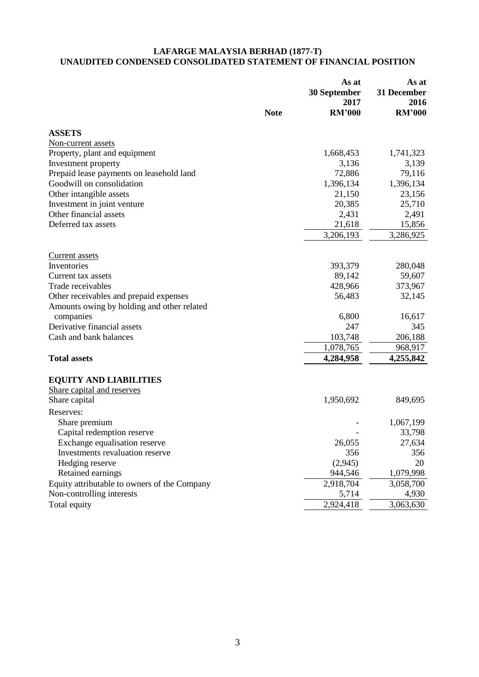### **LAFARGE MALAYSIA BERHAD (1877-T) UNAUDITED CONDENSED CONSOLIDATED STATEMENT OF FINANCIAL POSITION**

|                                              | <b>Note</b> | As at<br>30 September<br>2017<br><b>RM'000</b> | As at<br>31 December<br>2016<br><b>RM'000</b> |
|----------------------------------------------|-------------|------------------------------------------------|-----------------------------------------------|
| <b>ASSETS</b>                                |             |                                                |                                               |
| Non-current assets                           |             |                                                |                                               |
| Property, plant and equipment                |             | 1,668,453                                      | 1,741,323                                     |
| Investment property                          |             | 3,136                                          | 3,139                                         |
| Prepaid lease payments on leasehold land     |             | 72,886                                         | 79,116                                        |
| Goodwill on consolidation                    |             | 1,396,134                                      | 1,396,134                                     |
| Other intangible assets                      |             | 21,150                                         | 23,156                                        |
| Investment in joint venture                  |             | 20,385                                         | 25,710                                        |
| Other financial assets                       |             | 2,431                                          | 2,491                                         |
| Deferred tax assets                          |             | 21,618                                         | 15,856                                        |
|                                              |             | 3,206,193                                      | 3,286,925                                     |
| <b>Current assets</b>                        |             |                                                |                                               |
| Inventories                                  |             | 393,379                                        | 280,048                                       |
| Current tax assets                           |             | 89,142                                         | 59,607                                        |
| Trade receivables                            |             | 428,966                                        | 373,967                                       |
| Other receivables and prepaid expenses       |             | 56,483                                         | 32,145                                        |
| Amounts owing by holding and other related   |             |                                                |                                               |
| companies                                    |             | 6,800                                          | 16,617                                        |
| Derivative financial assets                  |             | 247                                            | 345                                           |
| Cash and bank balances                       |             | 103,748                                        | 206,188                                       |
|                                              |             | 1,078,765                                      | 968,917                                       |
| <b>Total assets</b>                          |             | 4,284,958                                      | 4,255,842                                     |
| <b>EQUITY AND LIABILITIES</b>                |             |                                                |                                               |
| Share capital and reserves                   |             |                                                |                                               |
| Share capital                                |             | 1,950,692                                      | 849,695                                       |
| Reserves:                                    |             |                                                |                                               |
| Share premium                                |             |                                                | 1,067,199                                     |
| Capital redemption reserve                   |             |                                                | 33,798                                        |
| Exchange equalisation reserve                |             | 26,055                                         | 27,634                                        |
| Investments revaluation reserve              |             | 356                                            | 356                                           |
| Hedging reserve                              |             | (2,945)                                        | 20                                            |
| Retained earnings                            |             | 944,546                                        | 1,079,998                                     |
| Equity attributable to owners of the Company |             | 2,918,704                                      | 3,058,700                                     |
| Non-controlling interests                    |             | 5,714                                          | 4,930                                         |
| Total equity                                 |             | 2,924,418                                      | 3,063,630                                     |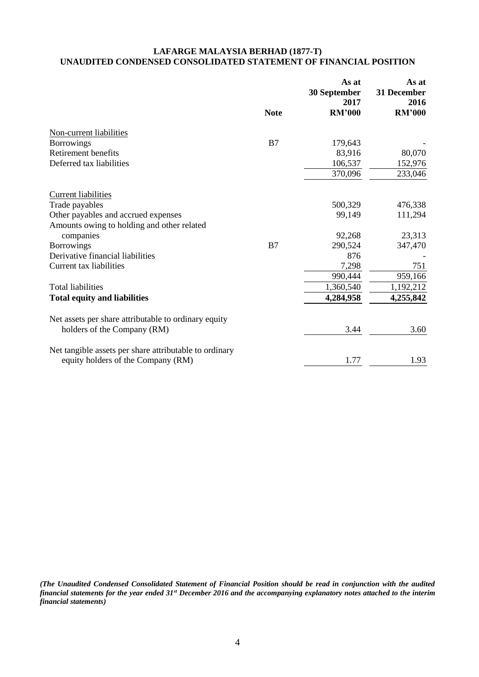# **LAFARGE MALAYSIA BERHAD (1877-T) UNAUDITED CONDENSED CONSOLIDATED STATEMENT OF FINANCIAL POSITION**

|                                                        |             | As at<br>30 September<br>2017 | As at<br>31 December<br>2016 |
|--------------------------------------------------------|-------------|-------------------------------|------------------------------|
|                                                        | <b>Note</b> | <b>RM'000</b>                 | <b>RM'000</b>                |
| Non-current liabilities                                |             |                               |                              |
| <b>Borrowings</b>                                      | B7          | 179,643                       |                              |
| Retirement benefits                                    |             | 83,916                        | 80,070                       |
| Deferred tax liabilities                               |             | 106,537                       | 152,976                      |
|                                                        |             | 370,096                       | 233,046                      |
| <b>Current liabilities</b>                             |             |                               |                              |
| Trade payables                                         |             | 500,329                       | 476,338                      |
| Other payables and accrued expenses                    |             | 99,149                        | 111,294                      |
| Amounts owing to holding and other related             |             |                               |                              |
| companies                                              |             | 92,268                        | 23,313                       |
| <b>Borrowings</b>                                      | B7          | 290,524                       | 347,470                      |
| Derivative financial liabilities                       |             | 876                           |                              |
| Current tax liabilities                                |             | 7,298                         | 751                          |
|                                                        |             | 990,444                       | 959,166                      |
| <b>Total liabilities</b>                               |             | 1,360,540                     | 1,192,212                    |
| <b>Total equity and liabilities</b>                    |             | 4,284,958                     | 4,255,842                    |
| Net assets per share attributable to ordinary equity   |             |                               |                              |
| holders of the Company (RM)                            |             | 3.44                          | 3.60                         |
| Net tangible assets per share attributable to ordinary |             |                               |                              |
| equity holders of the Company (RM)                     |             | 1.77                          | 1.93                         |

*(The Unaudited Condensed Consolidated Statement of Financial Position should be read in conjunction with the audited financial statements for the year ended 31st December 2016 and the accompanying explanatory notes attached to the interim financial statements)*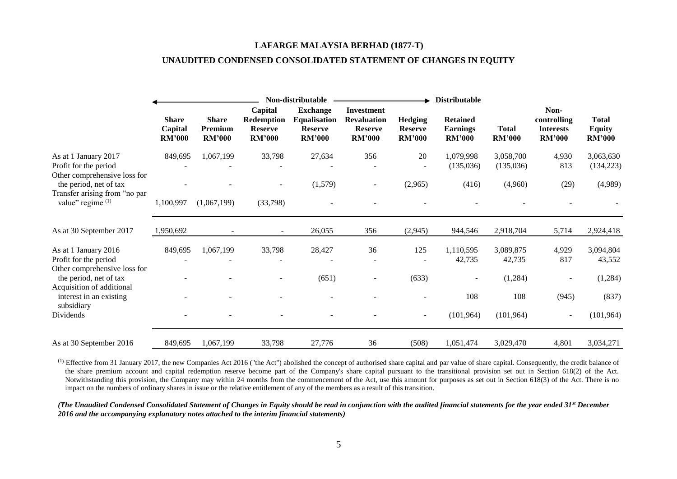#### **LAFARGE MALAYSIA BERHAD (1877-T)**

### **UNAUDITED CONDENSED CONSOLIDATED STATEMENT OF CHANGES IN EQUITY**

|                                                                                     |                                          |                                          |                                                          | Non-distributable                                                         |                                                                            |                                                   | <b>Distributable</b>                                |                               |                                                          |                                         |
|-------------------------------------------------------------------------------------|------------------------------------------|------------------------------------------|----------------------------------------------------------|---------------------------------------------------------------------------|----------------------------------------------------------------------------|---------------------------------------------------|-----------------------------------------------------|-------------------------------|----------------------------------------------------------|-----------------------------------------|
|                                                                                     | <b>Share</b><br>Capital<br><b>RM'000</b> | <b>Share</b><br>Premium<br><b>RM'000</b> | Capital<br>Redemption<br><b>Reserve</b><br><b>RM'000</b> | <b>Exchange</b><br><b>Equalisation</b><br><b>Reserve</b><br><b>RM'000</b> | <b>Investment</b><br><b>Revaluation</b><br><b>Reserve</b><br><b>RM'000</b> | <b>Hedging</b><br><b>Reserve</b><br><b>RM'000</b> | <b>Retained</b><br><b>Earnings</b><br><b>RM'000</b> | <b>Total</b><br><b>RM'000</b> | Non-<br>controlling<br><b>Interests</b><br><b>RM'000</b> | Total<br><b>Equity</b><br><b>RM'000</b> |
| As at 1 January 2017<br>Profit for the period<br>Other comprehensive loss for       | 849,695                                  | 1,067,199                                | 33,798                                                   | 27,634                                                                    | 356                                                                        | 20                                                | 1,079,998<br>(135,036)                              | 3,058,700<br>(135,036)        | 4,930<br>813                                             | 3,063,630<br>(134, 223)                 |
| the period, net of tax<br>Transfer arising from "no par<br>value" regime (1)        | 1,100,997                                | (1,067,199)                              | ۰<br>(33,798)                                            | (1,579)                                                                   | $\overline{\phantom{a}}$                                                   | (2,965)                                           | (416)                                               | (4,960)                       | (29)                                                     | (4,989)                                 |
| As at 30 September 2017                                                             | 1,950,692                                |                                          |                                                          | 26,055                                                                    | 356                                                                        | (2,945)                                           | 944,546                                             | 2,918,704                     | 5,714                                                    | 2,924,418                               |
| As at 1 January 2016<br>Profit for the period                                       | 849,695                                  | 1,067,199                                | 33,798                                                   | 28,427                                                                    | 36                                                                         | 125                                               | 1,110,595<br>42,735                                 | 3,089,875<br>42,735           | 4,929<br>817                                             | 3,094,804<br>43,552                     |
| Other comprehensive loss for<br>the period, net of tax<br>Acquisition of additional |                                          |                                          |                                                          | (651)                                                                     |                                                                            | (633)                                             |                                                     | (1,284)                       |                                                          | (1,284)                                 |
| interest in an existing<br>subsidiary                                               |                                          |                                          |                                                          |                                                                           |                                                                            |                                                   | 108                                                 | 108                           | (945)                                                    | (837)                                   |
| Dividends                                                                           |                                          |                                          |                                                          |                                                                           |                                                                            |                                                   | (101, 964)                                          | (101, 964)                    | $\sim$                                                   | (101, 964)                              |
| As at 30 September 2016                                                             | 849,695                                  | 1,067,199                                | 33,798                                                   | 27,776                                                                    | 36                                                                         | (508)                                             | 1,051,474                                           | 3,029,470                     | 4,801                                                    | 3,034,271                               |

<sup>(1)</sup> Effective from 31 January 2017, the new Companies Act 2016 ("the Act") abolished the concept of authorised share capital and par value of share capital. Consequently, the credit balance of the share premium account and capital redemption reserve become part of the Company's share capital pursuant to the transitional provision set out in Section 618(2) of the Act. Notwithstanding this provision, the Company may within 24 months from the commencement of the Act, use this amount for purposes as set out in Section 618(3) of the Act. There is no impact on the numbers of ordinary shares in issue or the relative entitlement of any of the members as a result of this transition.

*(The Unaudited Condensed Consolidated Statement of Changes in Equity should be read in conjunction with the audited financial statements for the year ended 31st December 2016 and the accompanying explanatory notes attached to the interim financial statements)*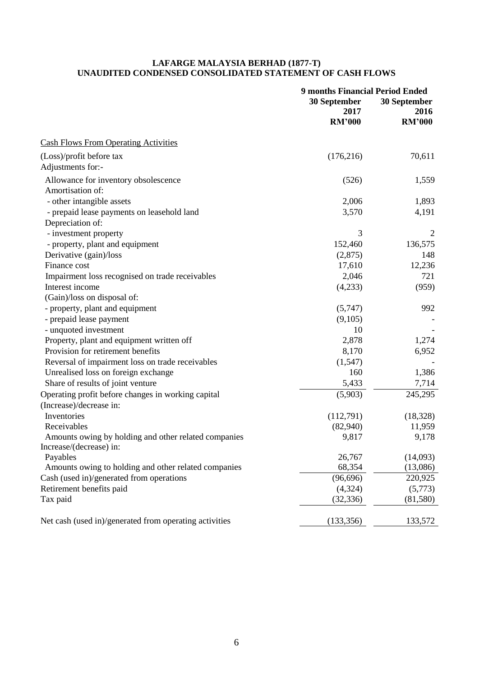### **LAFARGE MALAYSIA BERHAD (1877-T) UNAUDITED CONDENSED CONSOLIDATED STATEMENT OF CASH FLOWS**

|                                                        | 30 September          | <b>9 months Financial Period Ended</b><br>30 September |  |  |
|--------------------------------------------------------|-----------------------|--------------------------------------------------------|--|--|
|                                                        | 2017<br><b>RM'000</b> | 2016<br><b>RM'000</b>                                  |  |  |
| <b>Cash Flows From Operating Activities</b>            |                       |                                                        |  |  |
| (Loss)/profit before tax                               | (176, 216)            | 70,611                                                 |  |  |
| Adjustments for:-                                      |                       |                                                        |  |  |
| Allowance for inventory obsolescence                   | (526)                 | 1,559                                                  |  |  |
| Amortisation of:                                       |                       |                                                        |  |  |
| - other intangible assets                              | 2,006                 | 1,893                                                  |  |  |
| - prepaid lease payments on leasehold land             | 3,570                 | 4,191                                                  |  |  |
| Depreciation of:                                       |                       |                                                        |  |  |
| - investment property                                  | 3                     | 2                                                      |  |  |
| - property, plant and equipment                        | 152,460               | 136,575                                                |  |  |
| Derivative (gain)/loss                                 | (2,875)               | 148                                                    |  |  |
| Finance cost                                           | 17,610                | 12,236                                                 |  |  |
| Impairment loss recognised on trade receivables        | 2,046                 | 721                                                    |  |  |
| Interest income                                        | (4,233)               | (959)                                                  |  |  |
| (Gain)/loss on disposal of:                            |                       |                                                        |  |  |
| - property, plant and equipment                        | (5,747)               | 992                                                    |  |  |
| - prepaid lease payment                                | (9,105)               |                                                        |  |  |
| - unquoted investment                                  | 10                    |                                                        |  |  |
| Property, plant and equipment written off              | 2,878                 | 1,274                                                  |  |  |
| Provision for retirement benefits                      | 8,170                 | 6,952                                                  |  |  |
| Reversal of impairment loss on trade receivables       | (1,547)               |                                                        |  |  |
| Unrealised loss on foreign exchange                    | 160                   | 1,386                                                  |  |  |
| Share of results of joint venture                      | 5,433                 | 7,714                                                  |  |  |
| Operating profit before changes in working capital     | (5,903)               | 245,295                                                |  |  |
| (Increase)/decrease in:                                |                       |                                                        |  |  |
| Inventories                                            | (112,791)             | (18, 328)                                              |  |  |
| Receivables                                            | (82,940)              | 11,959                                                 |  |  |
| Amounts owing by holding and other related companies   | 9,817                 | 9,178                                                  |  |  |
| Increase/(decrease) in:                                |                       |                                                        |  |  |
| Payables                                               | 26,767                | (14,093)                                               |  |  |
| Amounts owing to holding and other related companies   | 68,354                | (13,086)                                               |  |  |
| Cash (used in)/generated from operations               | (96, 696)             | 220,925                                                |  |  |
| Retirement benefits paid                               | (4,324)               | (5,773)                                                |  |  |
| Tax paid                                               | (32, 336)             | (81,580)                                               |  |  |
| Net cash (used in)/generated from operating activities | (133, 356)            | 133,572                                                |  |  |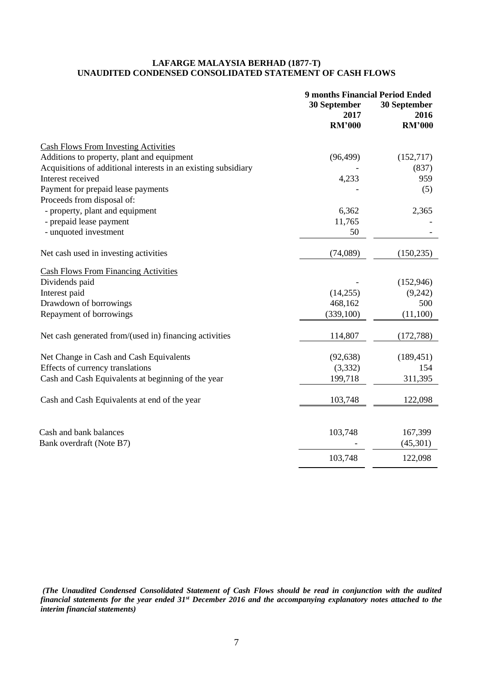### **LAFARGE MALAYSIA BERHAD (1877-T) UNAUDITED CONDENSED CONSOLIDATED STATEMENT OF CASH FLOWS**

|                                                                | <b>9 months Financial Period Ended</b><br>30 September<br>30 September<br>2016<br>2017 |               |  |
|----------------------------------------------------------------|----------------------------------------------------------------------------------------|---------------|--|
|                                                                | <b>RM'000</b>                                                                          | <b>RM'000</b> |  |
| <b>Cash Flows From Investing Activities</b>                    |                                                                                        |               |  |
| Additions to property, plant and equipment                     | (96, 499)                                                                              | (152, 717)    |  |
| Acquisitions of additional interests in an existing subsidiary |                                                                                        | (837)         |  |
| Interest received                                              | 4,233                                                                                  | 959           |  |
| Payment for prepaid lease payments                             |                                                                                        | (5)           |  |
| Proceeds from disposal of:                                     |                                                                                        |               |  |
| - property, plant and equipment                                | 6,362                                                                                  | 2,365         |  |
| - prepaid lease payment                                        | 11,765                                                                                 |               |  |
| - unquoted investment                                          | 50                                                                                     |               |  |
| Net cash used in investing activities                          | (74,089)                                                                               | (150, 235)    |  |
| <b>Cash Flows From Financing Activities</b>                    |                                                                                        |               |  |
| Dividends paid                                                 |                                                                                        | (152, 946)    |  |
| Interest paid                                                  | (14,255)                                                                               | (9,242)       |  |
| Drawdown of borrowings                                         | 468,162                                                                                | 500           |  |
| Repayment of borrowings                                        | (339, 100)                                                                             | (11,100)      |  |
| Net cash generated from/(used in) financing activities         | 114,807                                                                                | (172, 788)    |  |
| Net Change in Cash and Cash Equivalents                        | (92, 638)                                                                              | (189, 451)    |  |
| Effects of currency translations                               | (3,332)                                                                                | 154           |  |
| Cash and Cash Equivalents at beginning of the year             | 199,718                                                                                | 311,395       |  |
| Cash and Cash Equivalents at end of the year                   | 103,748                                                                                | 122,098       |  |
|                                                                |                                                                                        |               |  |
| Cash and bank balances                                         | 103,748                                                                                | 167,399       |  |
| Bank overdraft (Note B7)                                       |                                                                                        | (45, 301)     |  |
|                                                                | 103,748                                                                                | 122,098       |  |

*(The Unaudited Condensed Consolidated Statement of Cash Flows should be read in conjunction with the audited financial statements for the year ended 31st December 2016 and the accompanying explanatory notes attached to the interim financial statements)*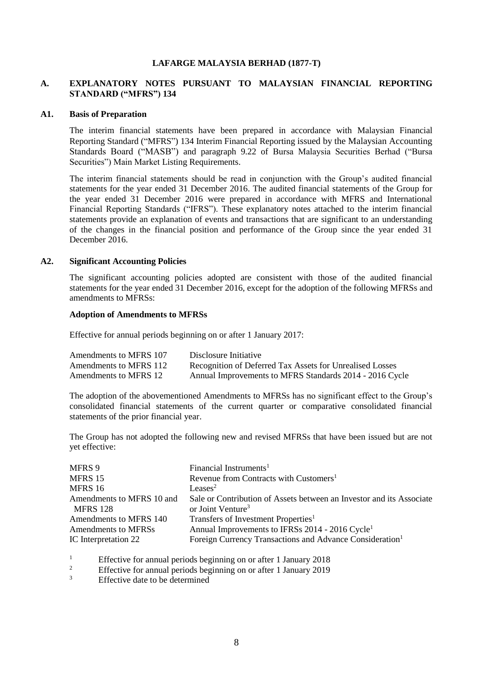### **LAFARGE MALAYSIA BERHAD (1877-T)**

# **A. EXPLANATORY NOTES PURSUANT TO MALAYSIAN FINANCIAL REPORTING STANDARD ("MFRS") 134**

#### **A1. Basis of Preparation**

The interim financial statements have been prepared in accordance with Malaysian Financial Reporting Standard ("MFRS") 134 Interim Financial Reporting issued by the Malaysian Accounting Standards Board ("MASB") and paragraph 9.22 of Bursa Malaysia Securities Berhad ("Bursa Securities") Main Market Listing Requirements.

The interim financial statements should be read in conjunction with the Group's audited financial statements for the year ended 31 December 2016. The audited financial statements of the Group for the year ended 31 December 2016 were prepared in accordance with MFRS and International Financial Reporting Standards ("IFRS"). These explanatory notes attached to the interim financial statements provide an explanation of events and transactions that are significant to an understanding of the changes in the financial position and performance of the Group since the year ended 31 December 2016.

#### **A2. Significant Accounting Policies**

The significant accounting policies adopted are consistent with those of the audited financial statements for the year ended 31 December 2016, except for the adoption of the following MFRSs and amendments to MFRSs:

### **Adoption of Amendments to MFRSs**

Effective for annual periods beginning on or after 1 January 2017:

| Amendments to MFRS 107 | Disclosure Initiative                                    |
|------------------------|----------------------------------------------------------|
| Amendments to MFRS 112 | Recognition of Deferred Tax Assets for Unrealised Losses |
| Amendments to MFRS 12  | Annual Improvements to MFRS Standards 2014 - 2016 Cycle  |

The adoption of the abovementioned Amendments to MFRSs has no significant effect to the Group's consolidated financial statements of the current quarter or comparative consolidated financial statements of the prior financial year.

The Group has not adopted the following new and revised MFRSs that have been issued but are not yet effective:

| Financial Instruments <sup>1</sup>                                   |
|----------------------------------------------------------------------|
| Revenue from Contracts with Customers <sup>1</sup>                   |
| Leases <sup>2</sup>                                                  |
| Sale or Contribution of Assets between an Investor and its Associate |
| or Joint Venture <sup>3</sup>                                        |
| Transfers of Investment Properties <sup>1</sup>                      |
| Annual Improvements to IFRSs 2014 - 2016 Cycle <sup>1</sup>          |
| Foreign Currency Transactions and Advance Consideration <sup>1</sup> |
|                                                                      |

<sup>1</sup><br>Effective for annual periods beginning on or after 1 January 2018<br>Effective for annual periods beginning on or after 1 January 2010

<sup>2</sup><br>Effective for annual periods beginning on or after 1 January 2019<br> $\frac{3}{2}$ 

Effective date to be determined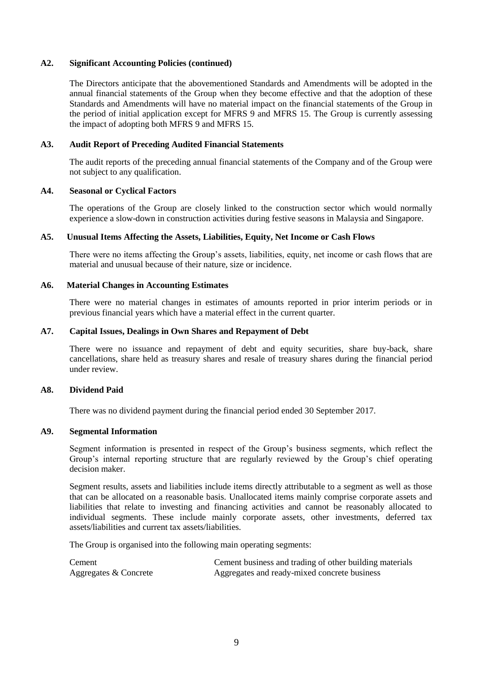### **A2. Significant Accounting Policies (continued)**

The Directors anticipate that the abovementioned Standards and Amendments will be adopted in the annual financial statements of the Group when they become effective and that the adoption of these Standards and Amendments will have no material impact on the financial statements of the Group in the period of initial application except for MFRS 9 and MFRS 15. The Group is currently assessing the impact of adopting both MFRS 9 and MFRS 15.

### **A3. Audit Report of Preceding Audited Financial Statements**

The audit reports of the preceding annual financial statements of the Company and of the Group were not subject to any qualification.

### **A4. Seasonal or Cyclical Factors**

The operations of the Group are closely linked to the construction sector which would normally experience a slow-down in construction activities during festive seasons in Malaysia and Singapore.

### **A5. Unusual Items Affecting the Assets, Liabilities, Equity, Net Income or Cash Flows**

There were no items affecting the Group's assets, liabilities, equity, net income or cash flows that are material and unusual because of their nature, size or incidence.

### **A6. Material Changes in Accounting Estimates**

There were no material changes in estimates of amounts reported in prior interim periods or in previous financial years which have a material effect in the current quarter.

### **A7. Capital Issues, Dealings in Own Shares and Repayment of Debt**

There were no issuance and repayment of debt and equity securities, share buy-back, share cancellations, share held as treasury shares and resale of treasury shares during the financial period under review.

#### **A8. Dividend Paid**

There was no dividend payment during the financial period ended 30 September 2017.

#### **A9. Segmental Information**

Segment information is presented in respect of the Group's business segments, which reflect the Group's internal reporting structure that are regularly reviewed by the Group's chief operating decision maker.

Segment results, assets and liabilities include items directly attributable to a segment as well as those that can be allocated on a reasonable basis. Unallocated items mainly comprise corporate assets and liabilities that relate to investing and financing activities and cannot be reasonably allocated to individual segments. These include mainly corporate assets, other investments, deferred tax assets/liabilities and current tax assets/liabilities.

The Group is organised into the following main operating segments:

Cement Cement business and trading of other building materials Aggregates & Concrete Aggregates and ready-mixed concrete business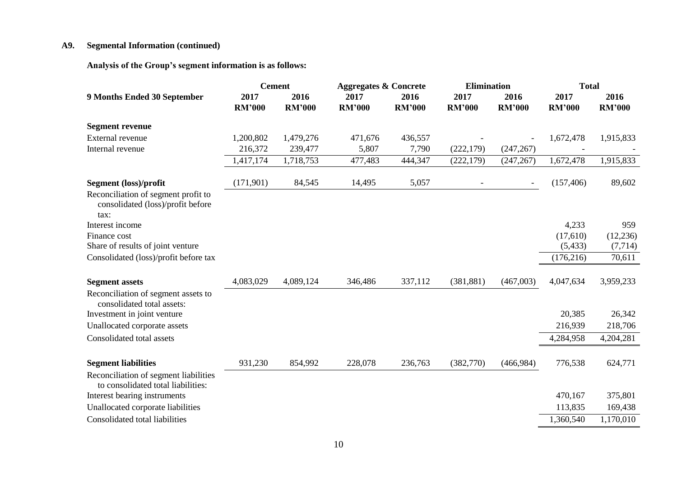# **A9. Segmental Information (continued)**

**Analysis of the Group's segment information is as follows:** 

|                                                                                  | <b>Cement</b>         |                       | <b>Aggregates &amp; Concrete</b> |                       | <b>Elimination</b>       |                          | <b>Total</b>          |                       |
|----------------------------------------------------------------------------------|-----------------------|-----------------------|----------------------------------|-----------------------|--------------------------|--------------------------|-----------------------|-----------------------|
| 9 Months Ended 30 September                                                      | 2017<br><b>RM'000</b> | 2016<br><b>RM'000</b> | 2017<br><b>RM'000</b>            | 2016<br><b>RM'000</b> | 2017<br><b>RM'000</b>    | 2016<br><b>RM'000</b>    | 2017<br><b>RM'000</b> | 2016<br><b>RM'000</b> |
| <b>Segment revenue</b>                                                           |                       |                       |                                  |                       |                          |                          |                       |                       |
| External revenue                                                                 | 1,200,802             | 1,479,276             | 471,676                          | 436,557               |                          |                          | 1,672,478             | 1,915,833             |
| Internal revenue                                                                 | 216,372               | 239,477               | 5,807                            | 7,790                 | (222, 179)               | (247, 267)               |                       |                       |
|                                                                                  | 1,417,174             | 1,718,753             | 477,483                          | 444,347               | (222, 179)               | (247, 267)               | 1,672,478             | 1,915,833             |
| Segment (loss)/profit                                                            | (171,901)             | 84,545                | 14,495                           | 5,057                 | $\overline{\phantom{a}}$ | $\overline{\phantom{a}}$ | (157, 406)            | 89,602                |
| Reconciliation of segment profit to<br>consolidated (loss)/profit before<br>tax: |                       |                       |                                  |                       |                          |                          |                       |                       |
| Interest income                                                                  |                       |                       |                                  |                       |                          |                          | 4,233                 | 959                   |
| Finance cost                                                                     |                       |                       |                                  |                       |                          |                          | (17,610)              | (12, 236)             |
| Share of results of joint venture                                                |                       |                       |                                  |                       |                          |                          | (5, 433)              | (7, 714)              |
| Consolidated (loss)/profit before tax                                            |                       |                       |                                  |                       |                          |                          | (176, 216)            | 70,611                |
| <b>Segment assets</b>                                                            | 4,083,029             | 4,089,124             | 346,486                          | 337,112               | (381, 881)               | (467,003)                | 4,047,634             | 3,959,233             |
| Reconciliation of segment assets to<br>consolidated total assets:                |                       |                       |                                  |                       |                          |                          |                       |                       |
| Investment in joint venture                                                      |                       |                       |                                  |                       |                          |                          | 20,385                | 26,342                |
| Unallocated corporate assets                                                     |                       |                       |                                  |                       |                          |                          | 216,939               | 218,706               |
| Consolidated total assets                                                        |                       |                       |                                  |                       |                          |                          | 4,284,958             | 4,204,281             |
| <b>Segment liabilities</b>                                                       | 931,230               | 854,992               | 228,078                          | 236,763               | (382,770)                | (466,984)                | 776,538               | 624,771               |
| Reconciliation of segment liabilities<br>to consolidated total liabilities:      |                       |                       |                                  |                       |                          |                          |                       |                       |
| Interest bearing instruments                                                     |                       |                       |                                  |                       |                          |                          | 470,167               | 375,801               |
| Unallocated corporate liabilities                                                |                       |                       |                                  |                       |                          |                          | 113,835               | 169,438               |
| Consolidated total liabilities                                                   |                       |                       |                                  |                       |                          |                          | 1,360,540             | 1,170,010             |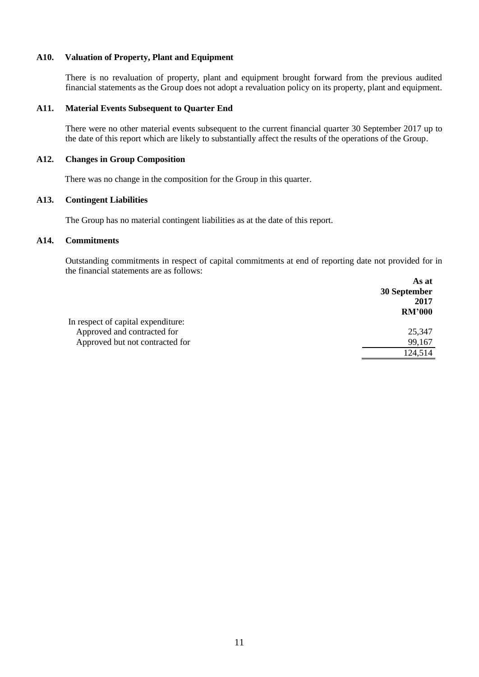# **A10. Valuation of Property, Plant and Equipment**

There is no revaluation of property, plant and equipment brought forward from the previous audited financial statements as the Group does not adopt a revaluation policy on its property, plant and equipment.

#### **A11. Material Events Subsequent to Quarter End**

There were no other material events subsequent to the current financial quarter 30 September 2017 up to the date of this report which are likely to substantially affect the results of the operations of the Group.

#### **A12. Changes in Group Composition**

There was no change in the composition for the Group in this quarter.

# **A13. Contingent Liabilities**

The Group has no material contingent liabilities as at the date of this report.

## **A14. Commitments**

Outstanding commitments in respect of capital commitments at end of reporting date not provided for in the financial statements are as follows:  **As at** 

|                                    | As at         |
|------------------------------------|---------------|
|                                    | 30 September  |
|                                    | 2017          |
|                                    | <b>RM'000</b> |
| In respect of capital expenditure: |               |
| Approved and contracted for        | 25,347        |
| Approved but not contracted for    | 99,167        |
|                                    | 124,514       |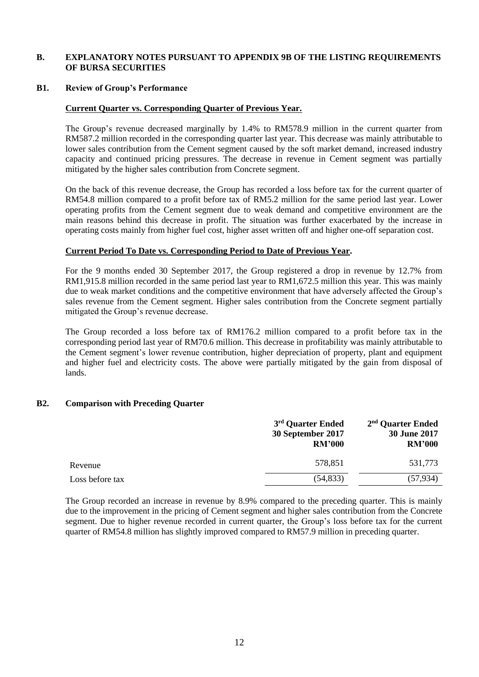### **B. EXPLANATORY NOTES PURSUANT TO APPENDIX 9B OF THE LISTING REQUIREMENTS OF BURSA SECURITIES**

#### **B1. Review of Group's Performance**

### **Current Quarter vs. Corresponding Quarter of Previous Year.**

The Group's revenue decreased marginally by 1.4% to RM578.9 million in the current quarter from RM587.2 million recorded in the corresponding quarter last year. This decrease was mainly attributable to lower sales contribution from the Cement segment caused by the soft market demand, increased industry capacity and continued pricing pressures. The decrease in revenue in Cement segment was partially mitigated by the higher sales contribution from Concrete segment.

On the back of this revenue decrease, the Group has recorded a loss before tax for the current quarter of RM54.8 million compared to a profit before tax of RM5.2 million for the same period last year. Lower operating profits from the Cement segment due to weak demand and competitive environment are the main reasons behind this decrease in profit. The situation was further exacerbated by the increase in operating costs mainly from higher fuel cost, higher asset written off and higher one-off separation cost.

### **Current Period To Date vs. Corresponding Period to Date of Previous Year.**

For the 9 months ended 30 September 2017, the Group registered a drop in revenue by 12.7% from RM1,915.8 million recorded in the same period last year to RM1,672.5 million this year. This was mainly due to weak market conditions and the competitive environment that have adversely affected the Group's sales revenue from the Cement segment. Higher sales contribution from the Concrete segment partially mitigated the Group's revenue decrease.

The Group recorded a loss before tax of RM176.2 million compared to a profit before tax in the corresponding period last year of RM70.6 million. This decrease in profitability was mainly attributable to the Cement segment's lower revenue contribution, higher depreciation of property, plant and equipment and higher fuel and electricity costs. The above were partially mitigated by the gain from disposal of lands.

#### **B2. Comparison with Preceding Quarter**

|                 | 3 <sup>rd</sup> Quarter Ended<br>30 September 2017<br><b>RM'000</b> | $2nd$ Quarter Ended<br>30 June 2017<br><b>RM'000</b> |
|-----------------|---------------------------------------------------------------------|------------------------------------------------------|
| Revenue         | 578,851                                                             | 531,773                                              |
| Loss before tax | (54, 833)                                                           | (57, 934)                                            |

The Group recorded an increase in revenue by 8.9% compared to the preceding quarter. This is mainly due to the improvement in the pricing of Cement segment and higher sales contribution from the Concrete segment. Due to higher revenue recorded in current quarter, the Group's loss before tax for the current quarter of RM54.8 million has slightly improved compared to RM57.9 million in preceding quarter.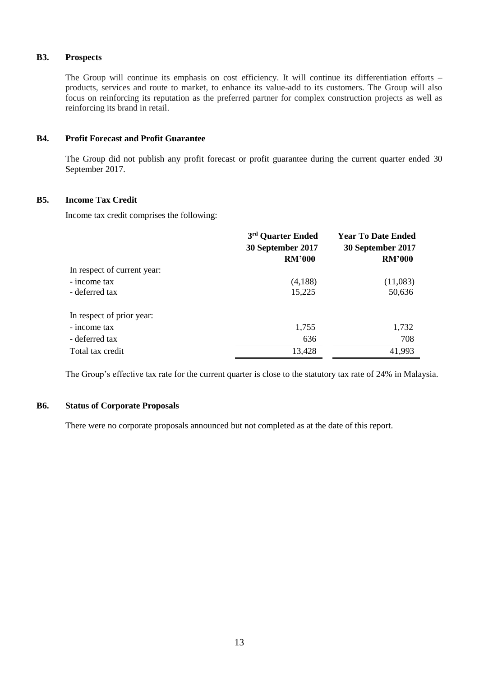# **B3. Prospects**

The Group will continue its emphasis on cost efficiency. It will continue its differentiation efforts – products, services and route to market, to enhance its value-add to its customers. The Group will also focus on reinforcing its reputation as the preferred partner for complex construction projects as well as reinforcing its brand in retail.

# **B4. Profit Forecast and Profit Guarantee**

The Group did not publish any profit forecast or profit guarantee during the current quarter ended 30 September 2017.

# **B5. Income Tax Credit**

Income tax credit comprises the following:

|                             | 3rd Quarter Ended | <b>Year To Date Ended</b> |  |
|-----------------------------|-------------------|---------------------------|--|
|                             | 30 September 2017 | 30 September 2017         |  |
|                             | <b>RM'000</b>     | <b>RM'000</b>             |  |
| In respect of current year: |                   |                           |  |
| - income tax                | (4,188)           | (11,083)                  |  |
| - deferred tax              | 15,225            | 50,636                    |  |
| In respect of prior year:   |                   |                           |  |
| - income tax                | 1,755             | 1,732                     |  |
| - deferred tax              | 636               | 708                       |  |
| Total tax credit            | 13,428            | 41,993                    |  |

The Group's effective tax rate for the current quarter is close to the statutory tax rate of 24% in Malaysia.

## **B6. Status of Corporate Proposals**

There were no corporate proposals announced but not completed as at the date of this report.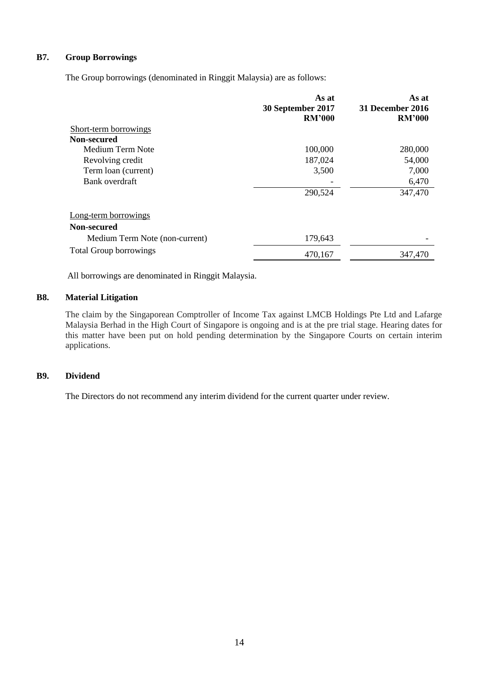# **B7. Group Borrowings**

The Group borrowings (denominated in Ringgit Malaysia) are as follows:

|                                | As at<br>30 September 2017<br><b>RM'000</b> | As at<br><b>31 December 2016</b><br><b>RM'000</b> |
|--------------------------------|---------------------------------------------|---------------------------------------------------|
| <b>Short-term borrowings</b>   |                                             |                                                   |
| Non-secured                    |                                             |                                                   |
| Medium Term Note               | 100,000                                     | 280,000                                           |
| Revolving credit               | 187,024                                     | 54,000                                            |
| Term loan (current)            | 3,500                                       | 7,000                                             |
| Bank overdraft                 |                                             | 6,470                                             |
|                                | 290,524                                     | 347,470                                           |
| Long-term borrowings           |                                             |                                                   |
| Non-secured                    |                                             |                                                   |
| Medium Term Note (non-current) | 179,643                                     |                                                   |
| <b>Total Group borrowings</b>  | 470,167                                     | 347,470                                           |

All borrowings are denominated in Ringgit Malaysia.

# **B8. Material Litigation**

The claim by the Singaporean Comptroller of Income Tax against LMCB Holdings Pte Ltd and Lafarge Malaysia Berhad in the High Court of Singapore is ongoing and is at the pre trial stage. Hearing dates for this matter have been put on hold pending determination by the Singapore Courts on certain interim applications.

# **B9. Dividend**

The Directors do not recommend any interim dividend for the current quarter under review.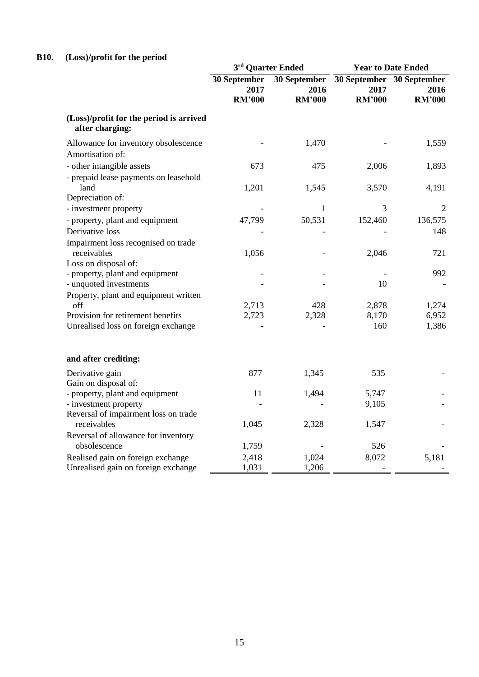# **B10. (Loss)/profit for the period**

|                                                                          | 3rd Quarter Ended                     |                                         | <b>Year to Date Ended</b> |                                                    |
|--------------------------------------------------------------------------|---------------------------------------|-----------------------------------------|---------------------------|----------------------------------------------------|
|                                                                          | 30 September<br>2017<br><b>RM'000</b> | $30$ September<br>2016<br><b>RM'000</b> | 2017<br><b>RM'000</b>     | 30 September 30 September<br>2016<br><b>RM'000</b> |
| (Loss)/profit for the period is arrived<br>after charging:               |                                       |                                         |                           |                                                    |
| Allowance for inventory obsolescence                                     |                                       | 1,470                                   |                           | 1,559                                              |
| Amortisation of:                                                         |                                       |                                         |                           |                                                    |
| - other intangible assets                                                | 673                                   | 475                                     | 2,006                     | 1,893                                              |
| - prepaid lease payments on leasehold<br>land                            | 1,201                                 | 1,545                                   | 3,570                     | 4,191                                              |
| Depreciation of:                                                         |                                       |                                         |                           |                                                    |
| - investment property                                                    |                                       | $\mathbf{1}$                            | 3                         | 2                                                  |
| - property, plant and equipment                                          | 47,799                                | 50,531                                  | 152,460                   | 136,575                                            |
| Derivative loss                                                          |                                       |                                         |                           | 148                                                |
| Impairment loss recognised on trade<br>receivables                       | 1,056                                 |                                         | 2,046                     | 721                                                |
| Loss on disposal of:                                                     |                                       |                                         |                           |                                                    |
| - property, plant and equipment<br>- unquoted investments                |                                       |                                         | 10                        | 992                                                |
| Property, plant and equipment written                                    |                                       |                                         |                           |                                                    |
| off                                                                      | 2,713                                 | 428                                     | 2,878                     | 1,274                                              |
| Provision for retirement benefits                                        | 2,723                                 | 2,328                                   | 8,170                     | 6,952                                              |
| Unrealised loss on foreign exchange                                      |                                       |                                         | 160                       | 1,386                                              |
| and after crediting:                                                     |                                       |                                         |                           |                                                    |
| Derivative gain<br>Gain on disposal of:                                  | 877                                   | 1,345                                   | 535                       |                                                    |
| - property, plant and equipment                                          | 11                                    | 1,494                                   | 5,747                     |                                                    |
| - investment property                                                    |                                       |                                         | 9,105                     |                                                    |
| Reversal of impairment loss on trade<br>receivables                      | 1,045                                 | 2,328                                   | 1,547                     |                                                    |
| Reversal of allowance for inventory                                      |                                       |                                         |                           |                                                    |
| obsolescence                                                             | 1,759                                 |                                         | 526                       |                                                    |
| Realised gain on foreign exchange<br>Unrealised gain on foreign exchange | 2,418<br>1,031                        | 1,024<br>1,206                          | 8,072                     | 5,181                                              |